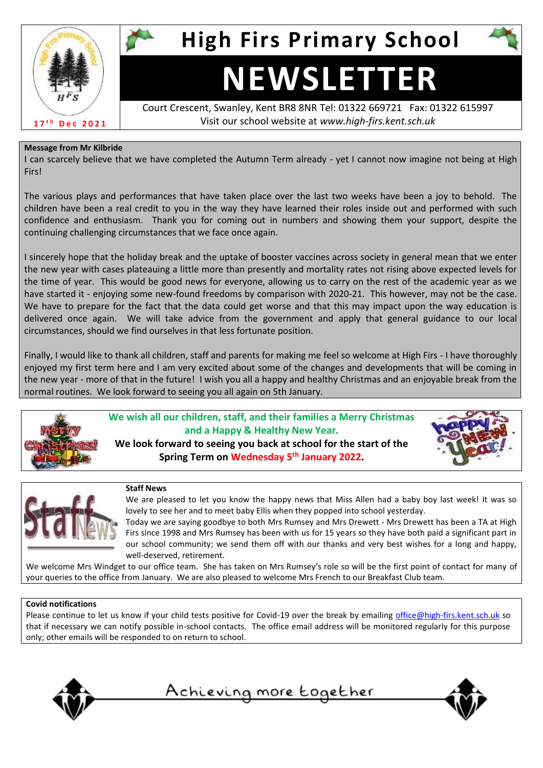

**High Firs Primary School**

# **NEWSLETTER**

Court Crescent, Swanley, Kent BR8 8NR Tel: 01322 669721 Fax: 01322 615997 Visit our school website at *www.high-firs.kent.sch.uk*

#### **Message from Mr Kilbride**

I can scarcely believe that we have completed the Autumn Term already - yet I cannot now imagine not being at High Firs!

The various plays and performances that have taken place over the last two weeks have been a joy to behold. The children have been a real credit to you in the way they have learned their roles inside out and performed with such confidence and enthusiasm. Thank you for coming out in numbers and showing them your support, despite the continuing challenging circumstances that we face once again.

I sincerely hope that the holiday break and the uptake of booster vaccines across society in general mean that we enter the new year with cases plateauing a little more than presently and mortality rates not rising above expected levels for the time of year. This would be good news for everyone, allowing us to carry on the rest of the academic year as we have started it - enjoying some new-found freedoms by comparison with 2020-21. This however, may not be the case. We have to prepare for the fact that the data could get worse and that this may impact upon the way education is delivered once again. We will take advice from the government and apply that general guidance to our local circumstances, should we find ourselves in that less fortunate position.

Finally, I would like to thank all children, staff and parents for making me feel so welcome at High Firs - I have thoroughly enjoyed my first term here and I am very excited about some of the changes and developments that will be coming in the new year - more of that in the future! I wish you all a happy and healthy Christmas and an enjoyable break from the normal routines. We look forward to seeing you all again on 5th January.



**We wish all our children, staff, and their families a Merry Christmas and a Happy & Healthy New Year. We look forward to seeing you back at school for the start of the Spring Term on Wednesday 5th January 2022.**





#### **Staff News**

We are pleased to let you know the happy news that Miss Allen had a baby boy last week! It was so lovely to see her and to meet baby Ellis when they popped into school yesterday.

Today we are saying goodbye to both Mrs Rumsey and Mrs Drewett - Mrs Drewett has been a TA at High Firs since 1998 and Mrs Rumsey has been with us for 15 years so they have both paid a significant part in our school community; we send them off with our thanks and very best wishes for a long and happy, well-deserved, retirement.

We welcome Mrs Windget to our office team. She has taken on Mrs Rumsey's role so will be the first point of contact for many of your queries to the office from January. We are also pleased to welcome Mrs French to our Breakfast Club team.

#### **Covid notifications**

Please continue to let us know if your child tests positive for Covid-19 over the break by emailing [office@high-firs.kent.sch.uk](mailto:office@high-firs.kent.sch.uk) so that if necessary we can notify possible in-school contacts. The office email address will be monitored regularly for this purpose only; other emails will be responded to on return to school.





Achieving more together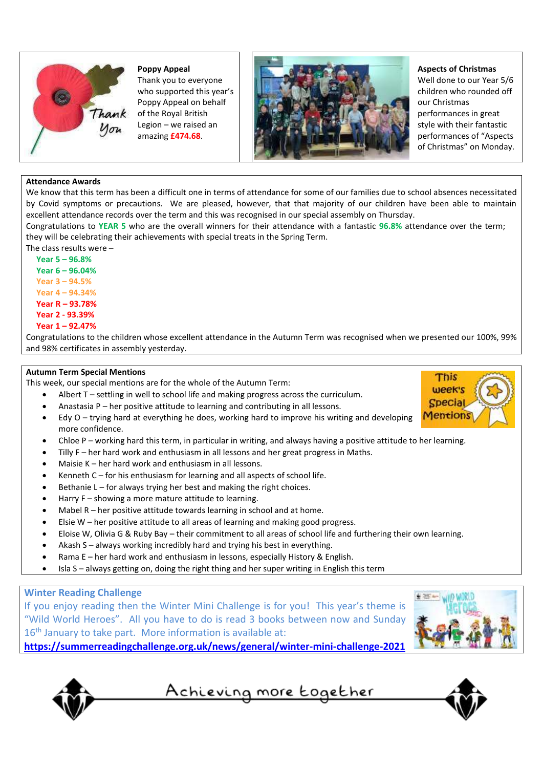

**Poppy Appeal** Thank you to everyone who supported this year's Poppy Appeal on behalf Thank of the Royal British Legion – we raised an amazing **£474.68**.



## **Aspects of Christmas**

Well done to our Year 5/6 children who rounded off our Christmas performances in great style with their fantastic performances of "Aspects of Christmas" on Monday.

#### **Attendance Awards**

We know that this term has been a difficult one in terms of attendance for some of our families due to school absences necessitated by Covid symptoms or precautions. We are pleased, however, that that majority of our children have been able to maintain excellent attendance records over the term and this was recognised in our special assembly on Thursday.

Congratulations to **YEAR 5** who are the overall winners for their attendance with a fantastic **96.8%** attendance over the term; they will be celebrating their achievements with special treats in the Spring Term.

The class results were –

 **Year 5 – 96.8% Year 6 – 96.04% Year 3 – 94.5% Year 4 – 94.34% Year R – 93.78% Year 2 - 93.39% Year 1 – 92.47%**

Congratulations to the children whose excellent attendance in the Autumn Term was recognised when we presented our 100%, 99% and 98% certificates in assembly yesterday.

#### **Autumn Term Special Mentions**

This week, our special mentions are for the whole of the Autumn Term:

- Albert T settling in well to school life and making progress across the curriculum.
- Anastasia P her positive attitude to learning and contributing in all lessons.
- Edy O trying hard at everything he does, working hard to improve his writing and developing more confidence.
- Chloe P working hard this term, in particular in writing, and always having a positive attitude to her learning.
- Tilly F her hard work and enthusiasm in all lessons and her great progress in Maths.
- Maisie K her hard work and enthusiasm in all lessons.
- Kenneth  $C$  for his enthusiasm for learning and all aspects of school life.
- Bethanie L for always trying her best and making the right choices.
- Harry F showing a more mature attitude to learning.
- Mabel R her positive attitude towards learning in school and at home.
- Elsie W her positive attitude to all areas of learning and making good progress.
- Eloise W, Olivia G & Ruby Bay their commitment to all areas of school life and furthering their own learning.
- Akash S always working incredibly hard and trying his best in everything.
- Rama E her hard work and enthusiasm in lessons, especially History & English.
- Isla S always getting on, doing the right thing and her super writing in English this term

### **Winter Reading Challenge**

If you enjoy reading then the Winter Mini Challenge is for you! This year's theme is "Wild World Heroes". All you have to do is read 3 books between now and Sunday 16<sup>th</sup> January to take part. More information is available at:







Achieving more together